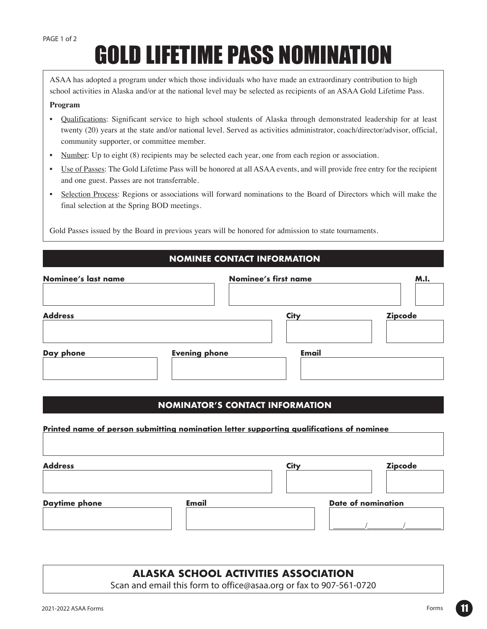# GOLD LIFETIME PASS NOMINATION

ASAA has adopted a program under which those individuals who have made an extraordinary contribution to high school activities in Alaska and/or at the national level may be selected as recipients of an ASAA Gold Lifetime Pass.

#### **Program**

- Qualifications: Significant service to high school students of Alaska through demonstrated leadership for at least twenty (20) years at the state and/or national level. Served as activities administrator, coach/director/advisor, official, community supporter, or committee member.
- Number: Up to eight (8) recipients may be selected each year, one from each region or association.
- Use of Passes: The Gold Lifetime Pass will be honored at all ASAA events, and will provide free entry for the recipient and one guest. Passes are not transferrable.
- Selection Process: Regions or associations will forward nominations to the Board of Directors which will make the final selection at the Spring BOD meetings.

Gold Passes issued by the Board in previous years will be honored for admission to state tournaments.

## **NOMINEE CONTACT INFORMATION**

| <b>Zipcode</b> |
|----------------|
|                |
|                |

### **NOMINATOR'S CONTACT INFORMATION**

# **Printed name of person submitting nomination letter supporting qualifications of nominee Address Daytime phone City Zipcode Email Date of nomination** \_\_\_\_\_\_\_\_/\_\_\_\_\_\_\_\_\_/\_\_\_\_\_\_\_\_\_

# **ALASKA SCHOOL ACTIVITIES ASSOCIATION**

Scan and email this form to office@asaa.org or fax to 907-561-0720